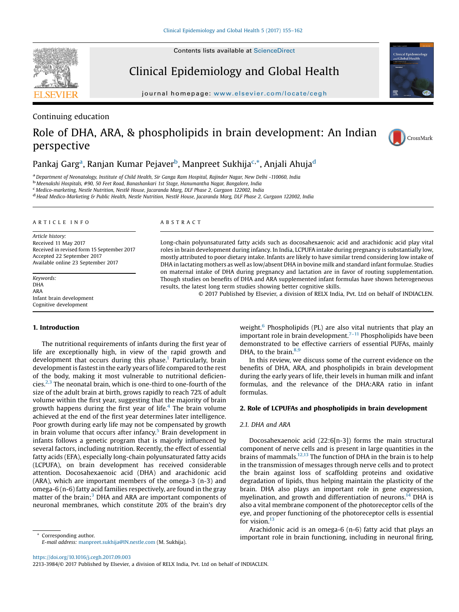**SEVIER** 

Clinical Epidemiology and Global Health

journal home page: www.elsevier.com/locate/ceg/sevier.com/locate/ceg/sevier.com/locate/ceg/sevier.com/locate/ceg/sevier.com/locate/ceg/sevier.com/locate/ceg/sevier.com/locate/ceg/sevier.com/locate/ceg/sevier.com/locate/ce

Continuing education

# Role of DHA, ARA, & phospholipids in brain development: An Indian perspective



## Pankaj Garg<sup>a</sup>, Ranjan Kumar Pejaver<sup>b</sup>, Manpreet Sukhija<sup>c,\*</sup>, Anjali Ahuja<sup>d</sup>

<sup>a</sup> Department of Neonatology, Institute of Child Health, Sir Ganga Ram Hospital, Rajinder Nagar, New Delhi -110060, India b<br><sup>b</sup> Meenakshi Hospitals, #90, 50 Feet Road, Banashankari 1st Stage, Hanumantha Nagar, Bangalore,

 $d$  Head Medico-Marketing & Public Health, Nestle Nutrition, Nestlé House, Jacaranda Marg, DLF Phase 2, Gurgaon 122002, India

#### A R T I C L E I N F O

Article history: Received 11 May 2017 Received in revised form 15 September 2017 Accepted 22 September 2017 Available online 23 September 2017

Keywords: DHA ARA Infant brain development Cognitive development

#### 1. Introduction

The nutritional requirements of infants during the first year of life are exceptionally high, in view of the rapid growth and development that occurs during this phase.<sup>[1](#page-5-0)</sup> Particularly, brain development is fastest in the early years of life compared to the rest of the body, making it most vulnerable to nutritional deficiencies.2,3 The neonatal brain, which is one-third to [one-fourth](#page-6-0) of the size of the adult brain at birth, grows rapidly to reach 72% of adult volume within the first year, suggesting that the majority of brain growth happens during the first year of life.<sup>[4](#page-6-0)</sup> The brain volume achieved at the end of the first year determines later intelligence. Poor growth during early life may not be compensated by growth in brain volume that occurs after infancy.<sup>[5](#page-6-0)</sup> Brain development in infants follows a genetic program that is majorly influenced by several factors, including nutrition. Recently, the effect of essential fatty acids (EFA), especially long-chain polyunsaturated fatty acids (LCPUFA), on brain development has received considerable attention. Docosahexaenoic acid (DHA) and arachidonic acid (ARA), which are important members of the omega-3 (n-3) and omega-6 (n-6) fatty acid families respectively, are found in the gray matter of the brain;<sup>[3](#page-6-0)</sup> DHA and ARA are important components of neuronal membranes, which constitute 20% of the brain's dry

E-mail address: [manpreet.sukhija@IN.nestle.com](mailto:manpreet.sukhija@IN.nestle.com) (M. Sukhija).

#### A B S T R A C T

Long-chain polyunsaturated fatty acids such as docosahexaenoic acid and arachidonic acid play vital roles in brain development during infancy. In India, LCPUFA intake during pregnancy is substantially low, mostly attributed to poor dietary intake. Infants are likely to have similar trend considering low intake of DHA in lactating mothers as well as low/absent DHA in bovine milk and standard infant formulae. Studies on maternal intake of DHA during pregnancy and lactation are in favor of routing supplementation. Though studies on benefits of DHA and ARA supplemented infant formulas have shown heterogeneous results, the latest long term studies showing better cognitive skills.

© 2017 Published by Elsevier, a division of RELX India, Pvt. Ltd on behalf of INDIACLEN.

weight.<sup>[6](#page-6-0)</sup> Phospholipids (PL) are also vital nutrients that play an important role in brain development.<sup> $7-11$ </sup> [Phospholipids](#page-6-0) have been demonstrated to be effective carriers of essential PUFAs, mainly DHA, to the brain. $8,9$ 

In this review, we discuss some of the current evidence on the benefits of DHA, ARA, and phospholipids in brain development during the early years of life, their levels in human milk and infant formulas, and the relevance of the DHA:ARA ratio in infant formulas.

## 2. Role of LCPUFAs and phospholipids in brain development

## 2.1. DHA and ARA

Docosahexaenoic acid (22:6[n-3]) forms the main structural component of nerve cells and is present in large quantities in the brains of mammals.12,13 The [function](#page-6-0) of DHA in the brain is to help in the transmission of messages through nerve cells and to protect the brain against loss of scaffolding proteins and oxidative degradation of lipids, thus helping maintain the plasticity of the brain. DHA also plays an important role in gene expression, myelination, and growth and differentiation of neurons.<sup>[14](#page-6-0)</sup> DHA is also a vital membrane component of the photoreceptor cells of the eye, and proper functioning of the photoreceptor cells is essential for vision.<sup>[13](#page-6-0)</sup>

Arachidonic acid is an omega-6 (n-6) fatty acid that plays an Corresponding author. The corresponding author. The corresponding in neuronal firing, the corresponding author.

<https://doi.org/10.1016/j.cegh.2017.09.003>

2213-3984/© 2017 Published by Elsevier, a division of RELX India, Pvt. Ltd on behalf of INDIACLEN.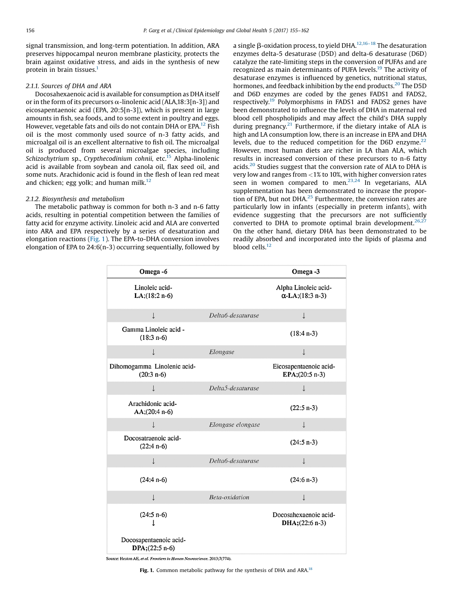signal transmission, and long-term potentiation. In addition, ARA preserves hippocampal neuron membrane plasticity, protects the brain against oxidative stress, and aids in the synthesis of new protein in brain tissues.<sup>1</sup>

## 2.1.1. Sources of DHA and ARA

Docosahexaenoic acid is available for consumption as DHA itself or in the form of its precursors  $\alpha$ -linolenic acid (ALA,18:3[n-3]) and eicosapentaenoic acid (EPA, 20:5[n-3]), which is present in large amounts in fish, sea foods, and to some extent in poultry and eggs. However, vegetable fats and oils do not contain DHA or EPA.<sup>[12](#page-6-0)</sup> Fish oil is the most commonly used source of n-3 fatty acids, and microalgal oil is an excellent alternative to fish oil. The microalgal oil is produced from several microalgae species, including Schizochytrium sp., Crypthecodinium cohnii, etc.<sup>15</sup> Alpha-linolenic acid is available from soybean and canola oil, flax seed oil, and some nuts. Arachidonic acid is found in the flesh of lean red meat and chicken; egg yolk; and human milk. $12$ 

## 2.1.2. Biosynthesis and metabolism

The metabolic pathway is common for both n-3 and n-6 fatty acids, resulting in potential competition between the families of fatty acid for enzyme activity. Linoleic acid and ALA are converted into ARA and EPA respectively by a series of desaturation and elongation reactions (Fig. 1). The EPA-to-DHA conversion involves elongation of EPA to 24:6(n-3) occurring sequentially, followed by a single  $\beta$ -oxidation process, to yield DHA.<sup>12,16–18</sup> The [desaturation](#page-6-0) enzymes delta-5 desaturase (D5D) and delta-6 desaturase (D6D) catalyze the rate-limiting steps in the conversion of PUFAs and are recognized as main determinants of PUFA levels.<sup>[19](#page-6-0)</sup> The activity of desaturase enzymes is influenced by genetics, nutritional status, hormones, and feedback inhibition by the end products.<sup>[20](#page-6-0)</sup> The D5D and D6D enzymes are coded by the genes FADS1 and FADS2, respectively[.19](#page-6-0) Polymorphisms in FADS1 and FADS2 genes have been demonstrated to influence the levels of DHA in maternal red blood cell phospholipids and may affect the child's DHA supply during pregnancy. $21$  Furthermore, if the dietary intake of ALA is high and LA consumption low, there is an increase in EPA and DHA levels, due to the reduced competition for the D6D enzyme. $22$ However, most human diets are richer in LA than ALA, which results in increased conversion of these precursors to n-6 fatty acids.<sup>20</sup> Studies suggest that the conversion rate of ALA to DHA is very low and ranges from <1% to 10%, with higher conversion rates seen in women compared to men.<sup>23,24</sup> In [vegetarians,](#page-6-0) ALA supplementation has been demonstrated to increase the proportion of EPA, but not DHA[.25](#page-6-0) Furthermore, the conversion rates are particularly low in infants (especially in preterm infants), with evidence suggesting that the precursors are not sufficiently converted to DHA to promote optimal brain development.<sup>[26,27](#page-6-0)</sup> On the other hand, dietary DHA has been demonstrated to be readily absorbed and incorporated into the lipids of plasma and blood cells.<sup>[12](#page-6-0)</sup>

| Omega-6                                        |                   | Omega-3                                         |
|------------------------------------------------|-------------------|-------------------------------------------------|
| Linoleic acid-<br>$LA$ ; $(18:2 n-6)$          |                   | Alpha Linoleic acid-<br>$\alpha$ -LA;(18:3 n-3) |
| $\downarrow$                                   | Delta6-desaturase | $\downarrow$                                    |
| Gamma Linoleic acid -<br>$(18:3 n-6)$          |                   | $(18:4 n-3)$                                    |
| $\downarrow$                                   | Elongase          | ↓                                               |
| Dihomogamma Linolenic acid-<br>$(20:3 n-6)$    |                   | Eicosapentaenoic acid-<br>EPA;(20:5 n-3)        |
| T                                              | Delta5-desaturase | $\downarrow$                                    |
| Arachidonic acid-<br>$AA$ ;(20:4 n-6)          |                   | $(22:5 n-3)$                                    |
| J                                              | Elongase elongase | $\downarrow$                                    |
| Docosatraenoic acid-<br>$(22:4 n-6)$           |                   | $(24:5 n-3)$                                    |
| T                                              | Delta6-desaturase | $\downarrow$                                    |
| $(24:4 n-6)$                                   |                   | $(24:6 n-3)$                                    |
| $\downarrow$                                   | Beta-oxidation    | $\downarrow$                                    |
| $(24:5 n-6)$                                   |                   | Docosahexaenoic acid-<br>$DHA$ ; (22:6 n-3)     |
| Docosapentaenoic acid-<br>$DPA$ ; $(22:5 n-6)$ |                   |                                                 |

Source: Heaton AE, et al. Frontiers in Human Neuroscience. 2013;7(774).

Fig. 1. Common metabolic pathway for the synthesis of DHA and ARA.<sup>[18](#page-6-0)</sup>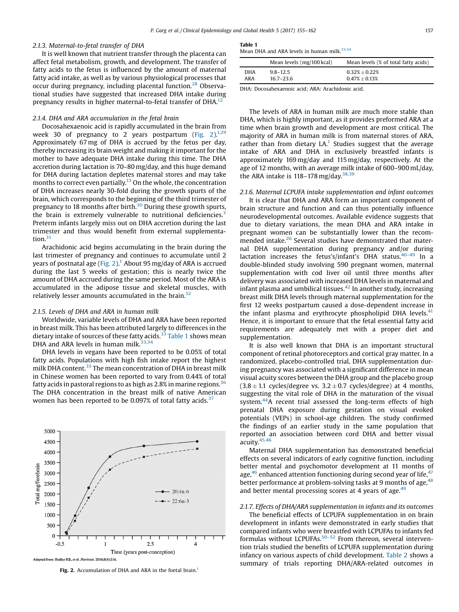## 2.1.3. Maternal-to-fetal transfer of DHA

It is well known that nutrient transfer through the placenta can affect fetal metabolism, growth, and development. The transfer of fatty acids to the fetus is influenced by the amount of maternal fatty acid intake, as well as by various physiological processes that occur during pregnancy, including placental function.<sup>28</sup> Observational studies have suggested that increased DHA intake during pregnancy results in higher maternal-to-fetal transfer of DHA.<sup>[12](#page-6-0)</sup>

#### 2.1.4. DHA and ARA accumulation in the fetal brain

Docosahexaenoic acid is rapidly accumulated in the brain from week 30 of pregnancy to 2 years postpartum (Fig.  $2)^{1,29}$ Approximately 67 mg of DHA is accrued by the fetus per day, thereby increasing its brain weight and making it important for the mother to have adequate DHA intake during this time. The DHA accretion during lactation is 70–80 mg/day, and this huge demand for DHA during lactation depletes maternal stores and may take months to correct even partially.<sup>13</sup> On the whole, the concentration of DHA increases nearly 30-fold during the growth spurts of the brain, which corresponds to the beginning of the third trimester of pregnancy to 18 months after birth.<sup>[30](#page-6-0)</sup> During these growth spurts, the brain is extremely vulnerable to nutritional deficiencies.<sup>[3](#page-6-0)</sup> Preterm infants largely miss out on DHA accretion during the last trimester and thus would benefit from external supplementation. $31$ 

Arachidonic acid begins accumulating in the brain during the last trimester of pregnancy and continues to accumulate until 2 years of postnatal age (Fig. 2).<sup>1</sup> About 95 mg/day of ARA is accrued during the last 5 weeks of gestation; this is nearly twice the amount of DHA accrued during the same period. Most of the ARA is accumulated in the adipose tissue and skeletal muscles, with relatively lesser amounts accumulated in the brain.<sup>[32](#page-6-0)</sup>

## 2.1.5. Levels of DHA and ARA in human milk

Worldwide, variable levels of DHA and ARA have been reported in breast milk. This has been attributed largely to differences in the dietary intake of sources of these fatty acids.<sup>[33](#page-6-0)</sup> Table 1 shows mean DHA and ARA levels in human milk. $33,34$ 

DHA levels in vegans have been reported to be 0.05% of total fatty acids. Populations with high fish intake report the highest milk DHA content.[35](#page-6-0) The mean concentration of DHA in breast milk in Chinese women has been reported to vary from 0.44% of total fatty acids in pastoral regions to as high as 2.8% in marine regions.  $36$ The DHA concentration in the breast milk of native American women has been reported to be 0.097% of total fatty acids.<sup>[37](#page-6-0)</sup>



Fig. 2. Accumulation of DHA and ARA in the foetal brain.<sup>1</sup>

## Table 1

Mean DHA and ARA levels in human milk. $33,34$ 

|            | Mean levels (mg/100 kcal) | Mean levels (% of total fatty acids) |
|------------|---------------------------|--------------------------------------|
| <b>DHA</b> | $9.8 - 12.5$              | $0.32\% \pm 0.22\%$                  |
| ARA        | $16.7 - 23.6$             | $0.47\% \pm 0.13\%$                  |

DHA: Docosahexaenoic acid; ARA: Arachidonic acid.

The levels of ARA in human milk are much more stable than DHA, which is highly important, as it provides preformed ARA at a time when brain growth and development are most critical. The majority of ARA in human milk is from maternal stores of ARA, rather than from dietary  $LA<sup>1</sup>$  $LA<sup>1</sup>$  $LA<sup>1</sup>$  Studies suggest that the average intake of ARA and DHA in exclusively breastfed infants is approximately 169 mg/day and 115 mg/day, respectively. At the age of 12 months, with an average milk intake of 600–900 mL/day, the ARA intake is 118–178 mg/day. $38,39$ 

2.1.6. Maternal LCPUFA intake supplementation and infant outcomes It is clear that DHA and ARA form an important component of brain structure and function and can thus potentially influence neurodevelopmental outcomes. Available evidence suggests that due to dietary variations, the mean DHA and ARA intake in pregnant women can be substantially lower than the recommended intake.<sup>26</sup> Several studies have demonstrated that maternal DHA supplementation during pregnancy and/or during lactation increases the fetus's/infant's DHA status.<sup>40-49</sup> [In](#page-6-0) a double-blinded study involving 590 pregnant women, maternal supplementation with cod liver oil until three months after delivery was associated with increased DHA levels in maternal and infant plasma and umbilical tissues.<sup>[42](#page-6-0)</sup> In another study, increasing breast milk DHA levels through maternal supplementation for the first 12 weeks postpartum caused a dose-dependent increase in the infant plasma and erythrocyte phospholipid DHA levels. $41$ Hence, it is important to ensure that the fetal essential fatty acid requirements are adequately met with a proper diet and supplementation.

It is also well known that DHA is an important structural component of retinal photoreceptors and cortical gray matter. In a randomized, placebo-controlled trial, DHA supplementation during pregnancy was associated with a significant difference in mean visual acuity scores between the DHA group and the placebo group  $(3.8 \pm 1.1 \text{ cycles}/\text{degree vs. } 3.2 \pm 0.7 \text{ cycles}/\text{degree})$  at 4 months, suggesting the vital role of DHA in the maturation of the visual system.<sup>44</sup>A recent trial assessed the long-term effects of high prenatal DHA exposure during gestation on visual evoked potentials (VEPs) in school-age children. The study confirmed the findings of an earlier study in the same population that reported an association between cord DHA and better visual acuity[.45,46](#page-6-0)

Maternal DHA supplementation has demonstrated beneficial effects on several indicators of early cognitive function, including better mental and psychomotor development at 11 months of age, $46$  enhanced attention functioning during second year of life, $47$ better performance at problem-solving tasks at 9 months of age,  $48$ and better mental processing scores at 4 years of age. $49$ 

## 2.1.7. Effects of DHA/ARA supplementation in infants and its outcomes

The beneficial effects of LCPUFA supplementation in on brain development in infants were demonstrated in early studies that compared infants who were breastfed with LCPUFAs to infants fed formulas without LCPUFAs.<sup>50-52</sup> From thereon, several [interven](#page-6-0)tion trials studied the benefits of LCPUFA supplementation during infancy on various aspects of child development. [Table](#page-3-0) 2 shows a summary of trials reporting DHA/ARA-related outcomes in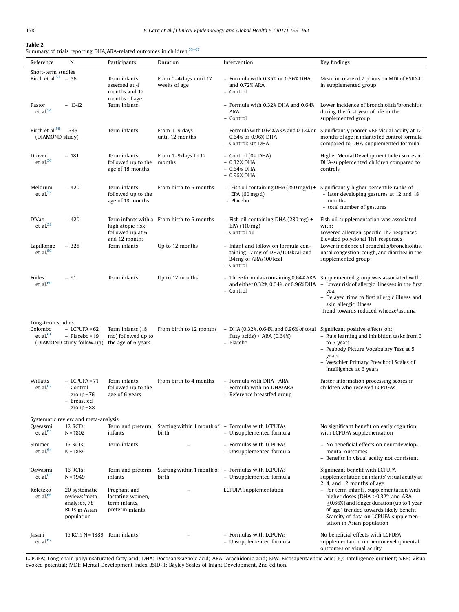## <span id="page-3-0"></span>Table 2

Summary of trials reporting DHA/ARA-related outcomes in children.<sup>[53](#page-6-0)-67</sup>

| Reference                                   | N                                                                             | Participants                                                         | Duration                                   | Intervention                                                                                                   | Key findings                                                                                                                                                                                                                                                                                     |  |
|---------------------------------------------|-------------------------------------------------------------------------------|----------------------------------------------------------------------|--------------------------------------------|----------------------------------------------------------------------------------------------------------------|--------------------------------------------------------------------------------------------------------------------------------------------------------------------------------------------------------------------------------------------------------------------------------------------------|--|
| Short-term studies                          |                                                                               |                                                                      |                                            |                                                                                                                |                                                                                                                                                                                                                                                                                                  |  |
| Birch et al. $53 - 56$                      |                                                                               | Term infants<br>assessed at 4<br>months and 12                       | From 0-4 days until 17<br>weeks of age     | - Formula with 0.35% or 0.36% DHA<br>and 0.72% ARA<br>- Control                                                | Mean increase of 7 points on MDI of BSID-II<br>in supplemented group                                                                                                                                                                                                                             |  |
| Pastor<br>et al. $54$                       | $-1342$                                                                       | months of age<br>Term infants                                        |                                            | - Formula with 0.32% DHA and 0.64%<br>ARA<br>- Control                                                         | Lower incidence of bronchiolitis/bronchitis<br>during the first year of life in the<br>supplemented group                                                                                                                                                                                        |  |
| Birch et al. $55 - 343$<br>(DIAMOND study)  |                                                                               | Term infants                                                         | From 1-9 days<br>until 12 months           | - Formula with 0.64% ARA and 0.32% or<br>0.64% or 0.96% DHA<br>- Control: 0% DHA                               | Significantly poorer VEP visual acuity at 12<br>months of age in infants fed control formula<br>compared to DHA-supplemented formula                                                                                                                                                             |  |
| Drover<br>et al. $56$                       | $-181$                                                                        | Term infants<br>followed up to the<br>age of 18 months               | From 1-9 days to 12<br>months              | - Control (0% DHA)<br>$-0.32\%$ DHA<br>$-0.64\%$ DHA<br>$-0.96%$ DHA                                           | Higher Mental Development Index scores in<br>DHA-supplemented children compared to<br>controls                                                                                                                                                                                                   |  |
| Meldrum<br>et al. $57$                      | $-420$                                                                        | Term infants<br>followed up to the<br>age of 18 months               | From birth to 6 months                     | - Fish oil containing DHA (250 mg/d) +<br>EPA $(60 \text{ mg/d})$<br>- Placebo                                 | Significantly higher percentile ranks of<br>- later developing gestures at 12 and 18<br>months<br>- total number of gestures                                                                                                                                                                     |  |
| D'Vaz<br>et al. $58$                        | $-420$                                                                        | high atopic risk<br>followed up at 6<br>and 12 months                | Term infants with a From birth to 6 months | - Fish oil containing DHA (280 mg) +<br>EPA (110 mg)<br>- Control oil                                          | Fish oil supplementation was associated<br>with:<br>Lowered allergen-specific Th2 responses<br>Elevated polyclonal Th1 responses                                                                                                                                                                 |  |
| Lapillonne<br>et al. $59$                   | $-325$                                                                        | Term infants                                                         | Up to 12 months                            | - Infant and follow on formula con-<br>taining 17 mg of DHA/100 kcal and<br>34 mg of ARA/100 kcal<br>- Control | Lower incidence of bronchitis/bronchiolitis,<br>nasal congestion, cough, and diarrhea in the<br>supplemented group                                                                                                                                                                               |  |
| Foiles<br>et al. $60$                       | $-91$                                                                         | Term infants                                                         | Up to 12 months                            | - Control                                                                                                      | - Three formulas containing 0.64% ARA Supplemented group was associated with:<br>and either 0.32%, 0.64%, or 0.96% DHA $-$ Lower risk of allergic illnesses in the first<br>year<br>- Delayed time to first allergic illness and<br>skin allergic illness<br>Trend towards reduced wheeze/asthma |  |
| Long-term studies<br>Colombo<br>et al. $61$ | $-$ LCPUFA = 62<br>$-$ Placebo = 19<br>(DIAMOND study follow-up)              | Term infants (18<br>mo) followed up to<br>the age of 6 years         | From birth to 12 months                    | – DHA (0.32%, 0.64%, and 0.96% of total<br>fatty $acids$ + ARA $(0.64%)$<br>- Placebo                          | Significant positive effects on:<br>- Rule learning and inhibition tasks from 3<br>to 5 years<br>- Peabody Picture Vocabulary Test at 5<br>years<br>- Weschler Primary Preschool Scales of<br>Intelligence at 6 years                                                                            |  |
| Willatts<br>et al. $62$                     | $-$ LCPUFA = 71<br>- Control<br>$group = 76$<br>– Breastfed<br>$group = 88$   | Term infants<br>followed up to the<br>age of 6 years                 | From birth to 4 months                     | - Formula with DHA + ARA<br>- Formula with no DHA/ARA<br>- Reference breastfed group                           | Faster information processing scores in<br>children who received LCPUFAs                                                                                                                                                                                                                         |  |
| Qawasmi<br>et al. $63$                      | Systematic review and meta-analysis<br>12 RCTs;<br>$N = 1802$                 | Term and preterm<br>infants                                          | birth                                      | Starting within 1 month of – Formulas with LCPUFAs<br>- Unsupplemented formula                                 | No significant benefit on early cognition<br>with LCPUFA supplementation                                                                                                                                                                                                                         |  |
| Simmer<br>et al. $64$                       | 15 RCTs;<br>$N = 1889$                                                        | Term infants                                                         |                                            | - Formulas with LCPUFAs<br>- Unsupplemented formula                                                            | - No beneficial effects on neurodevelop-<br>mental outcomes<br>- Benefits in visual acuity not consistent                                                                                                                                                                                        |  |
| Qawasmi<br>et al. $65$                      | 16 RCTs;<br>$N = 1949$                                                        | Term and preterm<br>infants                                          | birth                                      | Starting within 1 month of - Formulas with LCPUFAs<br>- Unsupplemented formula                                 | Significant benefit with LCPUFA<br>supplementation on infants' visual acuity at<br>2, 4, and 12 months of age                                                                                                                                                                                    |  |
| Koletzko<br>et al. $66$                     | 20 systematic<br>reviews/meta-<br>analyses, 78<br>RCTs in Asian<br>population | Pregnant and<br>lactating women,<br>term infants,<br>preterm infants |                                            | LCPUFA supplementation                                                                                         | - For term infants, supplementation with<br>higher doses (DHA $\geq$ 0.32% and ARA<br>$\geq$ 0.66%) and longer duration (up to 1 year<br>of age) trended towards likely benefit<br>- Scarcity of data on LCPUFA supplemen-<br>tation in Asian population                                         |  |
| Jasani<br>et al. $67$                       | 15 RCTs $N = 1889$ Term infants                                               |                                                                      |                                            | - Formulas with LCPUFAs<br>- Unsupplemented formula                                                            | No beneficial effects with LCPUFA<br>supplementation on neurodevelopmental<br>outcomes or visual acuity                                                                                                                                                                                          |  |

LCPUFA: Long-chain polyunsaturated fatty acid; DHA: Docosahexaenoic acid; ARA: Arachidonic acid; EPA: Eicosapentaenoic acid; IQ: Intelligence quotient; VEP: Visual evoked potential; MDI: Mental Development Index BSID-II: Bayley Scales of Infant Development, 2nd edition.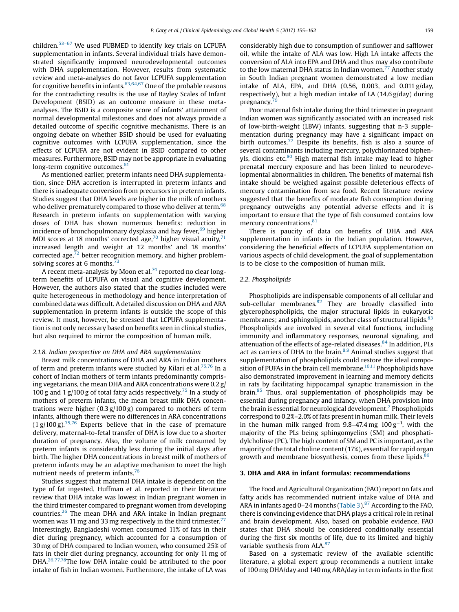children.53–<sup>67</sup> We used [PUBMED](#page-6-0) to identify key trials on LCPUFA supplementation in infants. Several individual trials have demonstrated significantly improved neurodevelopmental outcomes with DHA supplementation. However, results from systematic review and meta-analyses do not favor LCPUFA supplementation for cognitive benefits in infants.  $63,64,67$  One of the [probable](#page-7-0) reasons for the contradicting results is the use of Bayley Scales of Infant Development (BSID) as an outcome measure in these metaanalyses. The BSID is a composite score of infants' attainment of normal developmental milestones and does not always provide a detailed outcome of specific cognitive mechanisms. There is an ongoing debate on whether BSID should be used for evaluating cognitive outcomes with LCPUFA supplementation, since the effects of LCPUFA are not evident in BSID compared to other measures. Furthermore, BSID may not be appropriate in evaluating long-term cognitive outcomes. $61$ 

As mentioned earlier, preterm infants need DHA supplementation, since DHA accretion is interrupted in preterm infants and there is inadequate conversion from precursors in preterm infants. Studies suggest that DHA levels are higher in the milk of mothers who deliver prematurely compared to those who deliver at term.<sup>68</sup> Research in preterm infants on supplementation with varying doses of DHA has shown numerous benefits: reduction in incidence of bronchopulmonary dysplasia and hay fever, $69$  higher MDI scores at 18 months' corrected age,<sup>70</sup> higher visual acuity,<sup>71</sup> increased length and weight at 12 months' and 18 months' corrected age, $72$  better recognition memory, and higher problemsolving scores at 6 months. $73$ 

A recent meta-analysis by Moon et al.<sup>[74](#page-7-0)</sup> reported no clear longterm benefits of LCPUFA on visual and cognitive development. However, the authors also stated that the studies included were quite heterogeneous in methodology and hence interpretation of combined data was difficult. A detailed discussion on DHA and ARA supplementation in preterm infants is outside the scope of this review. It must, however, be stressed that LCPUFA supplementation is not only necessary based on benefits seen in clinical studies, but also required to mirror the composition of human milk.

## 2.1.8. Indian perspective on DHA and ARA supplementation

Breast milk concentrations of DHA and ARA in Indian mothers of term and preterm infants were studied by Kilari et al. $75,76$  In a cohort of Indian mothers of term infants predominantly comprising vegetarians, the mean DHA and ARA concentrations were 0.2 g/ 100 g and 1 g/100 g of total fatty acids respectively.<sup>75</sup> In a study of mothers of preterm infants, the mean breast milk DHA concentrations were higher (0.3 g/100 g) compared to mothers of term infants, although there were no differences in ARA concentrations  $(1 \text{ g}/100 \text{ g})$ .<sup>75,76</sup> Experts believe that in the case of [premature](#page-7-0) delivery, maternal-to-fetal transfer of DHA is low due to a shorter duration of pregnancy. Also, the volume of milk consumed by preterm infants is considerably less during the initial days after birth. The higher DHA concentrations in breast milk of mothers of preterm infants may be an adaptive mechanism to meet the high nutrient needs of preterm infants.<sup>[76](#page-7-0)</sup>

Studies suggest that maternal DHA intake is dependent on the type of fat ingested. Huffman et al. reported in their literature review that DHA intake was lowest in Indian pregnant women in the third trimester compared to pregnant women from developing countries[.26](#page-6-0) The mean DHA and ARA intake in Indian pregnant women was 11 mg and 33 mg respectively in the third trimester. $77$ Interestingly, Bangladeshi women consumed 11% of fats in their diet during pregnancy, which accounted for a consumption of 30 mg of DHA compared to Indian women, who consumed 25% of fats in their diet during pregnancy, accounting for only 11 mg of DHA.<sup>26,77,78</sup>The low DHA intake could be [attributed](#page-6-0) to the poor intake of fish in Indian women. Furthermore, the intake of LA was considerably high due to consumption of sunflower and safflower oil, while the intake of ALA was low. High LA intake affects the conversion of ALA into EPA and DHA and thus may also contribute to the low maternal DHA status in Indian women. $^{77}$  Another study in South Indian pregnant women demonstrated a low median intake of ALA, EPA, and DHA  $(0.56, 0.003,$  and  $0.011$  g/day, respectively), but a high median intake of LA (14.6 g/day) during pregnancy.<sup>7</sup>

Poor maternal fish intake during the third trimester in pregnant Indian women was significantly associated with an increased risk of low-birth-weight (LBW) infants, suggesting that n-3 supplementation during pregnancy may have a significant impact on birth outcomes.<sup>[77](#page-7-0)</sup> Despite its benefits, fish is also a source of several contaminants including mercury, polychlorinated biphenyls, dioxins etc.[80](#page-7-0) High maternal fish intake may lead to higher prenatal mercury exposure and has been linked to neurodevelopmental abnormalities in children. The benefits of maternal fish intake should be weighed against possible deleterious effects of mercury contamination from sea food. Recent literature review suggested that the benefits of moderate fish consumption during pregnancy outweighs any potential adverse effects and it is important to ensure that the type of fish consumed contains low mercury concentrations.<sup>81</sup>

There is paucity of data on benefits of DHA and ARA supplementation in infants in the Indian population. However, considering the beneficial effects of LCPUFA supplementation on various aspects of child development, the goal of supplementation is to be close to the composition of human milk.

## 2.2. Phospholipids

Phospholipids are indispensable components of all cellular and sub-cellular membranes. $82$  They are broadly classified into glycerophospholipids, the major structural lipids in eukaryotic membranes; and sphingolipids, another class of structural lipids.<sup>[83](#page-7-0)</sup> Phospholipids are involved in several vital functions, including immunity and inflammatory responses, neuronal signaling, and attenuation of the effects of age-related diseases.<sup>[84](#page-7-0)</sup> In addition, PLs act as carriers of DHA to the brain.<sup>8,9</sup> Animal studies [suggest](#page-6-0) that supplementation of phospholipids could restore the ideal composition of PUFAs in the brain cell membrane. $10,11$  [Phospholipids](#page-6-0) have also demonstrated improvement in learning and memory deficits in rats by facilitating hippocampal synaptic transmission in the brain.<sup>[85](#page-7-0)</sup> Thus, oral supplementation of phospholipids may be essential during pregnancy and infancy, when DHA provision into the brain is essential for neurological development.[7](#page-6-0) Phospholipids correspond to 0.2%–2.0% of fats present in human milk. Their levels in the human milk ranged from  $9.8-47.4$  mg  $100 \text{ g}^{-1}$ , with the majority of the PLs being sphingomyelins (SM) and phosphatidylcholinse (PC). The high content of SM and PC is important, as the majority of the total choline content (17%), essential for rapid organ growth and membrane biosynthesis, comes from these lipids.<sup>[86](#page-7-0)</sup>

## 3. DHA and ARA in infant formulas: recommendations

The Food and Agricultural Organization (FAO) report on fats and fatty acids has recommended nutrient intake value of DHA and ARA in infants aged 0–24 months [\(Table](#page-5-0) 3). $87$  According to the FAO, there is convincing evidence that DHA plays a critical role in retinal and brain development. Also, based on probable evidence, FAO states that DHA should be considered conditionally essential during the first six months of life, due to its limited and highly variable synthesis from ALA.<sup>87</sup>

Based on a systematic review of the available scientific literature, a global expert group recommends a nutrient intake of 100 mg DHA/day and 140 mg ARA/day in term infants in the first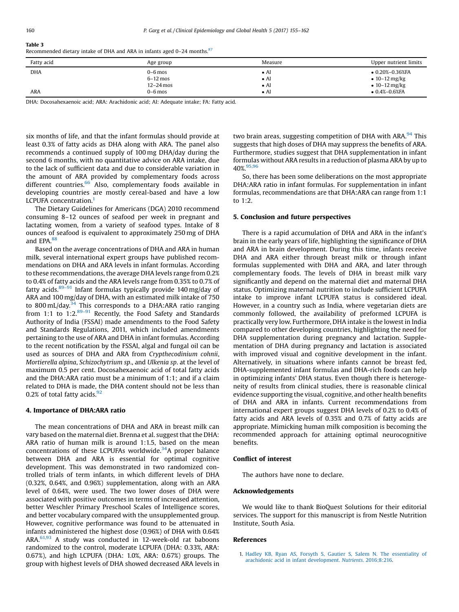<span id="page-5-0"></span>

| v<br>×<br>I |  |
|-------------|--|
| $\sim$      |  |

Table 3

| Recommended dietary intake of DHA and ARA in infants aged 0-24 months. <sup>87</sup> |
|--------------------------------------------------------------------------------------|
|                                                                                      |

| Fatty acid | Age group   | Measure      | Upper nutrient limits     |
|------------|-------------|--------------|---------------------------|
| <b>DHA</b> | $0-6$ mos   | $\bullet$ AI | $\bullet$ 0.20%-0.36%FA   |
|            | $6-12$ mos  | $\bullet$ Al | • $10 - 12 \text{ mg/kg}$ |
|            | $12-24$ mos | $\bullet$ AI | • $10 - 12 \text{ mg/kg}$ |
| <b>ARA</b> | 0-6 mos     | $\bullet$ AI | $\bullet$ 0.4%-0.6%FA     |

DHA: Docosahexaenoic acid; ARA: Arachidonic acid; AI: Adequate intake; FA: Fatty acid.

six months of life, and that the infant formulas should provide at least 0.3% of fatty acids as DHA along with ARA. The panel also recommends a continued supply of 100 mg DHA/day during the second 6 months, with no quantitative advice on ARA intake, due to the lack of sufficient data and due to considerable variation in the amount of ARA provided by complementary foods across different countries.<sup>[66](#page-7-0)</sup> Also, complementary foods available in developing countries are mostly cereal-based and have a low LCPUFA concentration.<sup>1</sup>

The Dietary Guidelines for Americans (DGA) 2010 recommend consuming 8–12 ounces of seafood per week in pregnant and lactating women, from a variety of seafood types. Intake of 8 ounces of seafood is equivalent to approximately 250 mg of DHA and EPA.<sup>88</sup>

Based on the average concentrations of DHA and ARA in human milk, several international expert groups have published recommendations on DHA and ARA levels in infant formulas. According to these recommendations, the average DHA levels range from 0.2% to 0.4% of fatty acids and the ARA levels range from 0.35% to 0.7% of fatty acids. $89-91$  Infant [formulas](#page-7-0) typically provide 140 mg/day of ARA and 100 mg/day of DHA, with an estimated milk intake of 750 to 800 mL/day.<sup>34</sup> This corresponds to a DHA:ARA ratio ranging from 1:1 to 1:2.89-91 Recently, the Food Safety and [Standards](#page-7-0) Authority of India (FSSAI) made amendments to the Food Safety and Standards Regulations, 2011, which included amendments pertaining to the use of ARA and DHA in infant formulas. According to the recent notification by the FSSAI, algal and fungal oil can be used as sources of DHA and ARA from Crypthecodinium cohnii, Mortierella alpina, Schizochytrium sp., and Ulkenia sp. at the level of maximum 0.5 per cent. Docosahexaenoic acid of total fatty acids and the DHA:ARA ratio must be a minimum of 1:1; and if a claim related to DHA is made, the DHA content should not be less than 0.2% of total fatty acids. $92$ 

## 4. Importance of DHA:ARA ratio

The mean concentrations of DHA and ARA in breast milk can vary based on the maternal diet. Brenna et al. suggest that the DHA: ARA ratio of human milk is around 1:1.5, based on the mean concentrations of these LCPUFAs worldwide. $34A$  proper balance between DHA and ARA is essential for optimal cognitive development. This was demonstrated in two randomized controlled trials of term infants, in which different levels of DHA (0.32%, 0.64%, and 0.96%) supplementation, along with an ARA level of 0.64%, were used. The two lower doses of DHA were associated with positive outcomes in terms of increased attention, better Weschler Primary Preschool Scales of Intelligence scores, and better vocabulary compared with the unsupplemented group. However, cognitive performance was found to be attenuated in infants administered the highest dose (0.96%) of DHA with 0.64% ARA.<sup>61,93</sup> A study was conducted in [12-week-old](#page-7-0) rat baboons randomized to the control, moderate LCPUFA (DHA: 0.33%, ARA: 0.67%), and high LCPUFA (DHA: 1.0%, ARA: 0.67%) groups. The group with highest levels of DHA showed decreased ARA levels in two brain areas, suggesting competition of DHA with ARA.<sup>[94](#page-7-0)</sup> This suggests that high doses of DHA may suppress the benefits of ARA. Furthermore, studies suggest that DHA supplementation in infant formulas without ARA results in a reduction of plasma ARA by up to 40%. [95,96](#page-7-0)

So, there has been some deliberations on the most appropriate DHA:ARA ratio in infant formulas. For supplementation in infant formulas, recommendations are that DHA:ARA can range from 1:1 to  $1:2$ .

## 5. Conclusion and future perspectives

There is a rapid accumulation of DHA and ARA in the infant's brain in the early years of life, highlighting the significance of DHA and ARA in brain development. During this time, infants receive DHA and ARA either through breast milk or through infant formulas supplemented with DHA and ARA, and later through complementary foods. The levels of DHA in breast milk vary significantly and depend on the maternal diet and maternal DHA status. Optimizing maternal nutrition to include sufficient LCPUFA intake to improve infant LCPUFA status is considered ideal. However, in a country such as India, where vegetarian diets are commonly followed, the availability of preformed LCPUFA is practically very low. Furthermore, DHA intake is the lowest in India compared to other developing countries, highlighting the need for DHA supplementation during pregnancy and lactation. Supplementation of DHA during pregnancy and lactation is associated with improved visual and cognitive development in the infant. Alternatively, in situations where infants cannot be breast fed, DHA-supplemented infant formulas and DHA-rich foods can help in optimizing infants' DHA status. Even though there is heterogeneity of results from clinical studies, there is reasonable clinical evidence supporting the visual, cognitive, and other health benefits of DHA and ARA in infants. Current recommendations from international expert groups suggest DHA levels of 0.2% to 0.4% of fatty acids and ARA levels of 0.35% and 0.7% of fatty acids are appropriate. Mimicking human milk composition is becoming the recommended approach for attaining optimal neurocognitive benefits.

## Conflict of interest

The authors have none to declare.

## Acknowledgements

We would like to thank BioQuest Solutions for their editorial services. The support for this manuscript is from Nestle Nutrition Institute, South Asia.

#### References

1. Hadley KB, Ryan AS, Forsyth S, Gautier S, Salem N. The [essentiality](http://refhub.elsevier.com/S2213-3984(17)30064-7/sbref0005) of arachidonic acid in infant [development.](http://refhub.elsevier.com/S2213-3984(17)30064-7/sbref0005) Nutrients. 2016;8:216.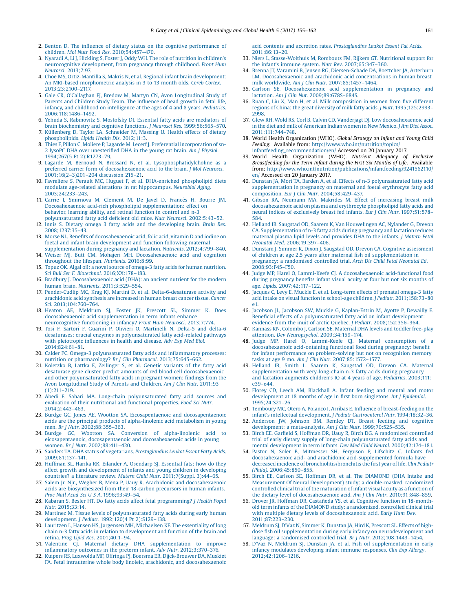- <span id="page-6-0"></span>2. Benton D. The influence of dietary status on the cognitive [performance](http://refhub.elsevier.com/S2213-3984(17)30064-7/sbref0010) of children. Mol Nutr Food Res. [2010;54:457](http://refhub.elsevier.com/S2213-3984(17)30064-7/sbref0010)–470.
- 3. Nyaradi A, Li J, Hickling S, Foster J, Oddy WH. The role of [nutrition](http://refhub.elsevier.com/S2213-3984(17)30064-7/sbref0015) in children's [neurocognitive](http://refhub.elsevier.com/S2213-3984(17)30064-7/sbref0015) development, from pregnancy through childhood. Front Hum Neurosci. [2013;7:97.](http://refhub.elsevier.com/S2213-3984(17)30064-7/sbref0015)
- 4. Choe MS, [Ortiz-Mantilla](http://refhub.elsevier.com/S2213-3984(17)30064-7/sbref0020) S, Makris N, et al. Regional infant brain development: An MRI-based [morphometric](http://refhub.elsevier.com/S2213-3984(17)30064-7/sbref0020) analysis in 3 to 13 month olds. Cereb Cortex. [2013;23:2100](http://refhub.elsevier.com/S2213-3984(17)30064-7/sbref0020)–2117.
- 5. Gale CR, O'Callaghan FJ, Bredow M, Martyn CN, Avon [Longitudinal](http://refhub.elsevier.com/S2213-3984(17)30064-7/sbref0025) Study of Parents and [Children](http://refhub.elsevier.com/S2213-3984(17)30064-7/sbref0025) Study Team. The influence of head growth in fetal life, infancy, and childhood on [intelligence](http://refhub.elsevier.com/S2213-3984(17)30064-7/sbref0025) at the ages of 4 and 8 years. Pediatrics. [2006;118:1486](http://refhub.elsevier.com/S2213-3984(17)30064-7/sbref0025)–1492.
- 6. Yehuda S, [Rabinovitz](http://refhub.elsevier.com/S2213-3984(17)30064-7/sbref0030) S, Mostofsky DI. Essential fatty acids are mediators of brain [biochemistry](http://refhub.elsevier.com/S2213-3984(17)30064-7/sbref0030) and cognitive functions. J Neurosci Res. 1999;56:565–570.
- 7. [Küllenberg](http://refhub.elsevier.com/S2213-3984(17)30064-7/sbref0035) D, Taylor LA, Schneider M, Massing U. Health effects of dietary [phospholipids.](http://refhub.elsevier.com/S2213-3984(17)30064-7/sbref0035) Lipids Health Dis. 2012;11:3.
- 8. Thies F, Pillon C, Moliere P, Lagarde M, Lecerf J. Preferential [incorporation](http://refhub.elsevier.com/S2213-3984(17)30064-7/sbref0040) of sn2 lysoPC DHA over [unesteri](http://refhub.elsevier.com/S2213-3984(17)30064-7/sbref0040)fied DHA in the young rat brain. Am J Physiol. [1994;267\(5](http://refhub.elsevier.com/S2213-3984(17)30064-7/sbref0040) Pt 2):R1273–79.
- 9. Lagarde M, Bernoud N, Brossard N, et al. [Lysophosphatidylcholine](http://refhub.elsevier.com/S2213-3984(17)30064-7/sbref0045) as a preferred carrier form of [docosahexaenoic](http://refhub.elsevier.com/S2213-3984(17)30064-7/sbref0045) acid to the brain. J Mol Neurosci. 2001;16(2–3)201–204 [discussion](http://refhub.elsevier.com/S2213-3984(17)30064-7/sbref0045) 215–21.
- 10. Favreliere S, Perault MC, Huguet F, et al. [DHA-enriched](http://refhub.elsevier.com/S2213-3984(17)30064-7/sbref0050) phospholipid diets modulate age-related alterations in rat [hippocampus.](http://refhub.elsevier.com/S2213-3984(17)30064-7/sbref0050) Neurobiol Aging. [2003;24:233](http://refhub.elsevier.com/S2213-3984(17)30064-7/sbref0050)–243.
- 11. Carrie I, [Smirnova](http://refhub.elsevier.com/S2213-3984(17)30064-7/sbref0055) M, Clement M, De Javel D, Francès H, Bourre JM. Docosahexaenoic acid-rich phospholipid [supplementation:](http://refhub.elsevier.com/S2213-3984(17)30064-7/sbref0055) effect on [behavior,](http://refhub.elsevier.com/S2213-3984(17)30064-7/sbref0055) learning ability, and retinal function in control and n-3
- [polyunsaturated](http://refhub.elsevier.com/S2213-3984(17)30064-7/sbref0055) fatty acid deficient old mice. Nutr Neurosci. 2002;5:43–52. 12. Innis S. Dietary omega 3 fatty acids and the [developing](http://refhub.elsevier.com/S2213-3984(17)30064-7/sbref0060) brain. Brain Res. [2008;1237:35](http://refhub.elsevier.com/S2213-3984(17)30064-7/sbref0060)–43.
- 13. Morse NL. Benefits of [docosahexaenoic](http://refhub.elsevier.com/S2213-3984(17)30064-7/sbref0065) acid, folic acid, vitamin D and iodine on foetal and infant brain [development](http://refhub.elsevier.com/S2213-3984(17)30064-7/sbref0065) and function following maternal [supplementation](http://refhub.elsevier.com/S2213-3984(17)30064-7/sbref0065) during pregnancy and lactation. Nutrients. 2012;4:799–840.
- 14. Weiser MJ, Butt CM, Mohajeri MH. [Docosahexaenoic](http://refhub.elsevier.com/S2213-3984(17)30064-7/sbref0070) acid and cognition [throughout](http://refhub.elsevier.com/S2213-3984(17)30064-7/sbref0070) the lifespan. Nutrients. 2016;8:99.
- 15. Topuz OK. Algal oil: a novel source of omega-3 fatty acids for human [nutrition.](http://refhub.elsevier.com/S2213-3984(17)30064-7/sbref0075) Sci Bull Ser F. Biotechnol. [2016;XX:178](http://refhub.elsevier.com/S2213-3984(17)30064-7/sbref0075)–183.
- 16. Bradbury J. [Docosahexaenoic](http://refhub.elsevier.com/S2213-3984(17)30064-7/sbref0080) acid (DHA): an ancient nutrient for the modern human brain. Nutrients. [2011;3:529](http://refhub.elsevier.com/S2213-3984(17)30064-7/sbref0080)–554.
- 17. Pender-Cudlip MC, Krag KJ, Martini D, et al. [Delta-6-desaturase](http://refhub.elsevier.com/S2213-3984(17)30064-7/sbref0085) activity and [arachidonic](http://refhub.elsevier.com/S2213-3984(17)30064-7/sbref0085) acid synthesis are increased in human breast cancer tissue. Cancer Sci. [2013;104:760](http://refhub.elsevier.com/S2213-3984(17)30064-7/sbref0085)–764.
- 18. Heaton AE, [Meldrum](http://refhub.elsevier.com/S2213-3984(17)30064-7/sbref0090) SJ, Foster JK, Prescott SL, Simmer K. Does docosahexaenoic acid [supplementation](http://refhub.elsevier.com/S2213-3984(17)30064-7/sbref0090) in term infants enhance [neurocognitive](http://refhub.elsevier.com/S2213-3984(17)30064-7/sbref0090) functioning in infancy? Front Hum Neurosci. 2013;7:774.
- 19. Tosi F, Sartori F, Guarini P, Olivieri O, [Martinelli](http://refhub.elsevier.com/S2213-3984(17)30064-7/sbref0095) N. Delta-5 and delta-6 desaturases: crucial enzymes in [polyunsaturated](http://refhub.elsevier.com/S2213-3984(17)30064-7/sbref0095) fatty acid-related pathways with [pleiotropic](http://refhub.elsevier.com/S2213-3984(17)30064-7/sbref0095) influences in health and disease. Adv Exp Med Biol. [2014;824:61](http://refhub.elsevier.com/S2213-3984(17)30064-7/sbref0095)–81.
- 20. Calder PC. Omega-3 [polyunsaturated](http://refhub.elsevier.com/S2213-3984(17)30064-7/sbref0100) fatty acids and inflammatory processes: nutrition or [pharmacology?](http://refhub.elsevier.com/S2213-3984(17)30064-7/sbref0100) Br J Clin Pharmacol. 2013;75:645–662.
- 21. Koletzko B, Lattka E, [Zeilinger](http://refhub.elsevier.com/S2213-3984(17)30064-7/sbref0105) S, et al. Genetic variants of the fatty acid desaturase gene cluster predict amounts of red blood cell [docosahexaenoic](http://refhub.elsevier.com/S2213-3984(17)30064-7/sbref0105) and other [polyunsaturated](http://refhub.elsevier.com/S2213-3984(17)30064-7/sbref0105) fatty acids in pregnant women: findings from the Avon [Longitudinal](http://refhub.elsevier.com/S2213-3984(17)30064-7/sbref0105) Study of Parents and Children. Am J Clin Nutr. 2011;93 [\(1\):211](http://refhub.elsevier.com/S2213-3984(17)30064-7/sbref0105)–219.
- 22. Abedi E, Sahari MA. Long-chain [polyunsaturated](http://refhub.elsevier.com/S2213-3984(17)30064-7/sbref0110) fatty acid sources and evaluation of their nutritional and functional [properties.](http://refhub.elsevier.com/S2213-3984(17)30064-7/sbref0110) Food Sci Nutr. [2014;2:443](http://refhub.elsevier.com/S2213-3984(17)30064-7/sbref0110)–463.
- 23. Burdge GC, Jones AE, Wootton SA. Eicosapentaenoic and [docosapentaenoic](http://refhub.elsevier.com/S2213-3984(17)30064-7/sbref0115) acids are the principal products of [alpha-linolenic](http://refhub.elsevier.com/S2213-3984(17)30064-7/sbref0115) acid metabolism in young men. Br J Nutr. [2002;88:355](http://refhub.elsevier.com/S2213-3984(17)30064-7/sbref0115)–363.
- 24. Burdge GC, Wootton SA. Conversion of [alpha-linolenic](http://refhub.elsevier.com/S2213-3984(17)30064-7/sbref0120) acid to eicosapentaenoic, [docosapentaenoic](http://refhub.elsevier.com/S2213-3984(17)30064-7/sbref0120) and docosahexaenoic acids in young women. Br J Nutr. [2002;88:411](http://refhub.elsevier.com/S2213-3984(17)30064-7/sbref0120)–420.
- 25. Sanders TA. DHA status of vegetarians. [Prostaglandins](http://refhub.elsevier.com/S2213-3984(17)30064-7/sbref0125) Leukot Essent Fatty Acids. [2009;81:137](http://refhub.elsevier.com/S2213-3984(17)30064-7/sbref0125)–141.
- 26. Huffman SL, Harika RK, Eilander A, [Osendarp](http://refhub.elsevier.com/S2213-3984(17)30064-7/sbref0130) SJ. Essential fats: how do they affect growth and [development](http://refhub.elsevier.com/S2213-3984(17)30064-7/sbref0130) of infants and young children in developing countries? a literature review. Matern Child Nutr. [2011;7\(Suppl.](http://refhub.elsevier.com/S2213-3984(17)30064-7/sbref0130) 3):44–65.
- 27. Salem Jr. NJr., Wegher B, Mena P, Uauy R. Arachidonic and [docosahexaenoic](http://refhub.elsevier.com/S2213-3984(17)30064-7/sbref0135) acids are [biosynthesized](http://refhub.elsevier.com/S2213-3984(17)30064-7/sbref0135) from their 18-carbon precursors in human infants. Proc Natl Acad Sci U S A. [1996;93:49](http://refhub.elsevier.com/S2213-3984(17)30064-7/sbref0135)–54.
- 28. Kabaran S, Besler HT. Do fatty acids affect fetal [programming?](http://refhub.elsevier.com/S2213-3984(17)30064-7/sbref0140) J Health Popul Nutr. [2015;33:14.](http://refhub.elsevier.com/S2213-3984(17)30064-7/sbref0140)
- 29. Martinez M. Tissue levels of [polyunsaturated](http://refhub.elsevier.com/S2213-3984(17)30064-7/sbref0145) fatty acids during early human [development.](http://refhub.elsevier.com/S2213-3984(17)30064-7/sbref0145) J Pediatr. 1992;120(4 Pt 2):S129–138.
- 30. Lauritzen L, Hansen HS, Jørgensen MH, Michaelsen KF. The [essentiality](http://refhub.elsevier.com/S2213-3984(17)30064-7/sbref0150) of long chain n-3 fatty acids in relation to [development](http://refhub.elsevier.com/S2213-3984(17)30064-7/sbref0150) and function of the brain and retina. Prog Lipid Res. [2001;40:1](http://refhub.elsevier.com/S2213-3984(17)30064-7/sbref0150)–94.
- 31. Valentine CJ. Maternal dietary DHA [supplementation](http://refhub.elsevier.com/S2213-3984(17)30064-7/sbref0155) to improve inflammatory outcomes in the preterm infant. Adv Nutr. [2012;3:370](http://refhub.elsevier.com/S2213-3984(17)30064-7/sbref0155)–376.
- 32. Kuipers RS, Luxwolda MF, Offringa PJ, Boersma ER, [Dijck-Brouwer](http://refhub.elsevier.com/S2213-3984(17)30064-7/sbref0160) DA, Muskiet FA. Fetal intrauterine whole body linoleic, arachidonic, and [docosahexaenoic](http://refhub.elsevier.com/S2213-3984(17)30064-7/sbref0160)

acid contents and accretion rates. [Prostaglandins](http://refhub.elsevier.com/S2213-3984(17)30064-7/sbref0160) Leukot Essent Fat Acids. [2011;86:13](http://refhub.elsevier.com/S2213-3984(17)30064-7/sbref0160)–20.

- 33. Niers L, [Stasse-Wolthuis](http://refhub.elsevier.com/S2213-3984(17)30064-7/sbref0165) M, Rombouts FM, Rijkers GT. Nutritional support for the infant's immune system. Nutr Rev. [2007;65:347](http://refhub.elsevier.com/S2213-3984(17)30064-7/sbref0165)–360.
- 34. Brenna JT, Varamini B, Jensen RG, [Diersen-Schade](http://refhub.elsevier.com/S2213-3984(17)30064-7/sbref0170) DA, Boettcher JA, Arterburn LM. [Docosahexaenoic](http://refhub.elsevier.com/S2213-3984(17)30064-7/sbref0170) and arachidonic acid concentrations in human breast milk worldwide. Am J Clin Nutr. [2007;85:1457](http://refhub.elsevier.com/S2213-3984(17)30064-7/sbref0170)–1464.
- 35. Carlson SE. [Docosahexaenoic](http://refhub.elsevier.com/S2213-3984(17)30064-7/sbref0175) acid supplementation in pregnancy and lactation. Am J Clin Nut. [2009;89:678S](http://refhub.elsevier.com/S2213-3984(17)30064-7/sbref0175)–684S.
- 36. Ruan C, Liu X, Man H, et al. Milk [composition](http://refhub.elsevier.com/S2213-3984(17)30064-7/sbref0180) in women from five different regions of China: the great diversity of milk fatty acids. J Nutr[.1995;125:2993](http://refhub.elsevier.com/S2213-3984(17)30064-7/sbref0180)– [2998.](http://refhub.elsevier.com/S2213-3984(17)30064-7/sbref0180)
- 37. Glew RH, Wold RS, Corl B, Calvin CD, Vanderjagt DJ. Low [docosahexaenoic](http://refhub.elsevier.com/S2213-3984(17)30064-7/sbref0185) acid in the diet and milk of [American](http://refhub.elsevier.com/S2213-3984(17)30064-7/sbref0185) Indian women in New Mexico. J Am Diet Assoc. [2011;111:744](http://refhub.elsevier.com/S2213-3984(17)30064-7/sbref0185)–748.
- 38. World Health Organization (WHO). Global Strategy on Infant and Young Child Feeding. Available from: [http://www.who.int/nutrition/topics/](http://www.who.int/nutrition/topics/infantfeeding_recommendation/en/) [infantfeeding\\_recommendation/en/](http://www.who.int/nutrition/topics/infantfeeding_recommendation/en/) Accessed on 20 January 2017.
- 39. World Health Organization (WHO). Nutrient Adequacy of Exclusive Breastfeeding for the Term Infant during the First Six Months of Life. Available from: [http://www.who.int/nutrition/publications/infantfeeding/9241562110/](http://www.who.int/nutrition/publications/infantfeeding/9241562110/en/) [en/](http://www.who.int/nutrition/publications/infantfeeding/9241562110/en/) Accessed on 20 January 2017.
- 40. Dunstan JA, Mori TA, Barden A, et al. Effects of n-3 [polyunsaturated](http://refhub.elsevier.com/S2213-3984(17)30064-7/sbref0200) fatty acid [supplementation](http://refhub.elsevier.com/S2213-3984(17)30064-7/sbref0200) in pregnancy on maternal and foetal erythrocyte fatty acid [composition.](http://refhub.elsevier.com/S2213-3984(17)30064-7/sbref0200) Eur J Clin Nutr. 2004;58:429–437.
- 41. Gibson RA, Neumann MA, Makrides M. Effect of [increasing](http://refhub.elsevier.com/S2213-3984(17)30064-7/sbref0205) breast milk [docosahexaenoic](http://refhub.elsevier.com/S2213-3984(17)30064-7/sbref0205) acid on plasma and erythrocyte phospholipid fatty acids and neural indices of exclusively breast fed infants. Eur J Clin Nutr. [1997;51:578](http://refhub.elsevier.com/S2213-3984(17)30064-7/sbref0205)-[584.](http://refhub.elsevier.com/S2213-3984(17)30064-7/sbref0205)
- 42. Helland IB, Saugstad OD, Saarem K, Van [Houwelingen](http://refhub.elsevier.com/S2213-3984(17)30064-7/sbref0210) AC, Nylander G, Drevon CA. [Supplementation](http://refhub.elsevier.com/S2213-3984(17)30064-7/sbref0210) of n-3 fatty acids during pregnancy and lactation reduces [maternal](http://refhub.elsevier.com/S2213-3984(17)30064-7/sbref0210) plasma lipid levels and provides DHA to the infants. J Matern Fetal Neonatal Med. [2006;19:397](http://refhub.elsevier.com/S2213-3984(17)30064-7/sbref0210)–406.
- 43. Dunstam J, Simmer K, Dixon J, Saugstad OD, Drevon CA. Cognitive [assessment](http://refhub.elsevier.com/S2213-3984(17)30064-7/sbref0215) of children at age 2.5 years after maternal fish oil [supplementation](http://refhub.elsevier.com/S2213-3984(17)30064-7/sbref0215) in pregnancy: a [randomised](http://refhub.elsevier.com/S2213-3984(17)30064-7/sbref0215) controlled trial. Arch Dis Child Fetal Neonatal Ed. [2008;93:F45](http://refhub.elsevier.com/S2213-3984(17)30064-7/sbref0215)–F50.
- 44. Judge MP, Harel O, Lammi-Keefe CJ. A [docosahexaenoic](http://refhub.elsevier.com/S2213-3984(17)30064-7/sbref0220) acid-functional food during [pregnancy](http://refhub.elsevier.com/S2213-3984(17)30064-7/sbref0220) benefits infant visual acuity at four but not six months of age. Lipids. [2007;42:117](http://refhub.elsevier.com/S2213-3984(17)30064-7/sbref0220)–122.
- 45. Jacques C, Levy E, Muckle E, et al. [Long-term](http://refhub.elsevier.com/S2213-3984(17)30064-7/sbref0225) effects of prenatal omega-3 fatty acid intake on visual function in school-age children. J Pediatr. [2011;158:73](http://refhub.elsevier.com/S2213-3984(17)30064-7/sbref0225)–80 [e1.](http://refhub.elsevier.com/S2213-3984(17)30064-7/sbref0225)
- 46. Jacobson JL, Jacobson SW, Muckle G, [Kaplan-Estrin](http://refhub.elsevier.com/S2213-3984(17)30064-7/sbref0230) M, Ayotte P, Dewailly E. Beneficial effects of a [polyunsaturated](http://refhub.elsevier.com/S2213-3984(17)30064-7/sbref0230) fatty acid on infant development: evidence from the inuit of arctic Quebec. J Pediatr. [2008;152:356](http://refhub.elsevier.com/S2213-3984(17)30064-7/sbref0230)–364.
- 47. Kannass KN, Colombo J, Carlson SE. [Maternal](http://refhub.elsevier.com/S2213-3984(17)30064-7/sbref0235) DHA levels and toddler free-play attention. Dev [Neuropsychol](http://refhub.elsevier.com/S2213-3984(17)30064-7/sbref0235). 2009;34:159–174.
- 48. Judge MP, Harel O, [Lammi-Keefe](http://refhub.elsevier.com/S2213-3984(17)30064-7/sbref0240) CJ. Maternal consumption of a [docosahexaenoic](http://refhub.elsevier.com/S2213-3984(17)30064-7/sbref0240) acid-ontaining functional food during pregnancy: benefit for infant performance on [problem-solving](http://refhub.elsevier.com/S2213-3984(17)30064-7/sbref0240) but not on recognition memory tasks at age 9 mo. Am J Clin Nutr. [2007;85:1572](http://refhub.elsevier.com/S2213-3984(17)30064-7/sbref0240)–1577.
- 49. Helland IB, Smith L, Saarem K, Saugstad OD, Drevon CA. [Maternal](http://refhub.elsevier.com/S2213-3984(17)30064-7/sbref0245) [supplementation](http://refhub.elsevier.com/S2213-3984(17)30064-7/sbref0245) with very-long-chain n-3 fatty acids during pregnancy and lactation augments children's IQ at 4 years of age. Pediatrics. [2003;111:](http://refhub.elsevier.com/S2213-3984(17)30064-7/sbref0245) e39–[e44.](http://refhub.elsevier.com/S2213-3984(17)30064-7/sbref0245)
- 50. Florey CD, Leech AM, [Blackhall](http://refhub.elsevier.com/S2213-3984(17)30064-7/sbref0250) A. Infant feeding and mental and motor [development](http://refhub.elsevier.com/S2213-3984(17)30064-7/sbref0250) at 18 months of age in first born singletons. Int J Epidemiol. [1995;24:S21](http://refhub.elsevier.com/S2213-3984(17)30064-7/sbref0250)–26.
- 51. Temboury MC, Otero A, Polanco I, Arribas E. Influence of [breast-feeding](http://refhub.elsevier.com/S2213-3984(17)30064-7/sbref0255) on the infant's intellectual [development.](http://refhub.elsevier.com/S2213-3984(17)30064-7/sbref0255) J Pediatr Gastroenterol Nutr. 1994;18:32–36.
- 52. [Anderson](http://refhub.elsevier.com/S2213-3984(17)30064-7/sbref0260) JW, Johnson BM, Remley DT. Breast feeding and cognitive development: a [meta-analysis.](http://refhub.elsevier.com/S2213-3984(17)30064-7/sbref0260) Am J Clin Nutr. 1999;70:525–535.
- 53. Birch EE, Garfield S, Hoffman DR, Uauy R, Birch DG. A [randomized](http://refhub.elsevier.com/S2213-3984(17)30064-7/sbref0265) controlled trial of early dietary supply of long-chain [polyunsaturated](http://refhub.elsevier.com/S2213-3984(17)30064-7/sbref0265) fatty acids and mental [development](http://refhub.elsevier.com/S2213-3984(17)30064-7/sbref0265) in term infants. Dev Med Child Neurol. 2000;42:174–181.
- 54. Pastor N, Soler B, [Mitmesser](http://refhub.elsevier.com/S2213-3984(17)30064-7/sbref0270) SH, Ferguson P, Lifschitz C. Infants fed docosahexaenoic acid- and arachidonic [acid-supplemented](http://refhub.elsevier.com/S2213-3984(17)30064-7/sbref0270) formula have decreased incidence of [bronchiolitis/bronchitis](http://refhub.elsevier.com/S2213-3984(17)30064-7/sbref0270) the first year of life. Clin Pediatr (Phila). [2006;45:850](http://refhub.elsevier.com/S2213-3984(17)30064-7/sbref0270)–855.
- 55. Birch EE, Carlson SE, Hoffman DR, et al. The [DIAMOND](http://refhub.elsevier.com/S2213-3984(17)30064-7/sbref0275) (DHA Intake and Measurement Of Neural Development) study: a [double-masked,](http://refhub.elsevier.com/S2213-3984(17)30064-7/sbref0275) randomized controlled clinical trial of the [maturation](http://refhub.elsevier.com/S2213-3984(17)30064-7/sbref0275) of infant visual acuity as a function of the dietary level of [docosahexaenoic](http://refhub.elsevier.com/S2213-3984(17)30064-7/sbref0275) acid. Am J Clin Nutr. 2010;91:848–859.
- 56. Drover JR, Hoffman DR, Castañeda YS, et al. Cognitive function in [18-month](http://refhub.elsevier.com/S2213-3984(17)30064-7/sbref0280)old term infants of the DIAMOND study: a [randomized,](http://refhub.elsevier.com/S2213-3984(17)30064-7/sbref0280) controlled clinical trial with multiple dietary levels of [docosahexaenoic](http://refhub.elsevier.com/S2213-3984(17)30064-7/sbref0280) acid. Early Hum Dev [2011;87:223](http://refhub.elsevier.com/S2213-3984(17)30064-7/sbref0280)–230.
- 57. [Meldrum](http://refhub.elsevier.com/S2213-3984(17)30064-7/sbref0285) SJ, D'Vaz N, Simmer K, Dunstan JA, Hird K, Prescott SL. Effects of highdose fish oil supplementation during early infancy on [neurodevelopment](http://refhub.elsevier.com/S2213-3984(17)30064-7/sbref0285) and language: a randomised controlled trial. Br J Nutr. [2012;108:1443](http://refhub.elsevier.com/S2213-3984(17)30064-7/sbref0285)–1454.
- 58. D'Vaz N, Meldrum SJ, Dunstan JA, et al. Fish oil [supplementation](http://refhub.elsevier.com/S2213-3984(17)30064-7/sbref0290) in early infancy modulates [developing](http://refhub.elsevier.com/S2213-3984(17)30064-7/sbref0290) infant immune responses. Clin Exp Allergy. [2012;42:1206](http://refhub.elsevier.com/S2213-3984(17)30064-7/sbref0290)–1216.